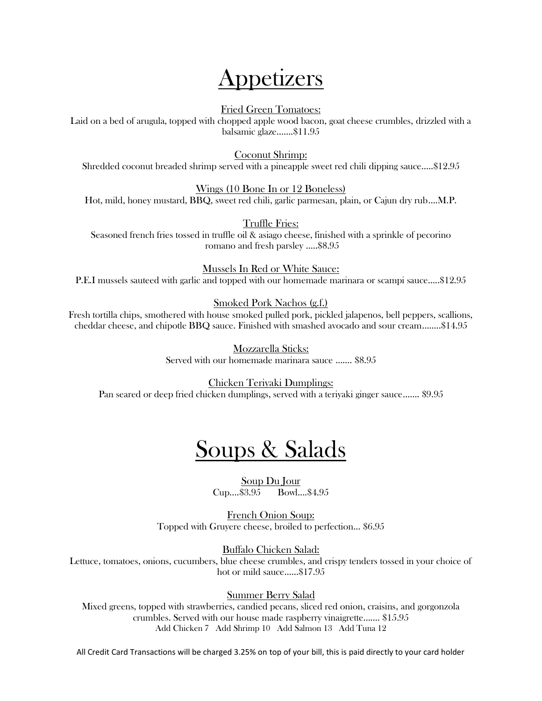# Appetizers

Fried Green Tomatoes:

Laid on a bed of arugula, topped with chopped apple wood bacon, goat cheese crumbles, drizzled with a balsamic glaze…….\$11.95

Coconut Shrimp:

Shredded coconut breaded shrimp served with a pineapple sweet red chili dipping sauce…..\$12.95

Wings (10 Bone In or 12 Boneless) Hot, mild, honey mustard, BBQ, sweet red chili, garlic parmesan, plain, or Cajun dry rub….M.P.

Truffle Fries: Seasoned french fries tossed in truffle oil & asiago cheese, finished with a sprinkle of pecorino romano and fresh parsley …..\$8.95

Mussels In Red or White Sauce: P.E.I mussels sauteed with garlic and topped with our homemade marinara or scampi sauce…..\$12.95

Smoked Pork Nachos (g.f.)

Fresh tortilla chips, smothered with house smoked pulled pork, pickled jalapenos, bell peppers, scallions, cheddar cheese, and chipotle BBQ sauce. Finished with smashed avocado and sour cream……..\$14.95

> Mozzarella Sticks: Served with our homemade marinara sauce ……. \$8.95

Chicken Teriyaki Dumplings: Pan seared or deep fried chicken dumplings, served with a teriyaki ginger sauce……. \$9.95

# Soups & Salads

Soup Du Jour Cup....\$3.95 Bowl....\$4.95

French Onion Soup: Topped with Gruyere cheese, broiled to perfection… \$6.95

Buffalo Chicken Salad:

Lettuce, tomatoes, onions, cucumbers, blue cheese crumbles, and crispy tenders tossed in your choice of hot or mild sauce……\$17.95

Summer Berry Salad

Mixed greens, topped with strawberries, candied pecans, sliced red onion, craisins, and gorgonzola crumbles. Served with our house made raspberry vinaigrette……. \$15.95 Add Chicken 7 Add Shrimp 10 Add Salmon 13 Add Tuna 12

All Credit Card Transactions will be charged 3.25% on top of your bill, this is paid directly to your card holder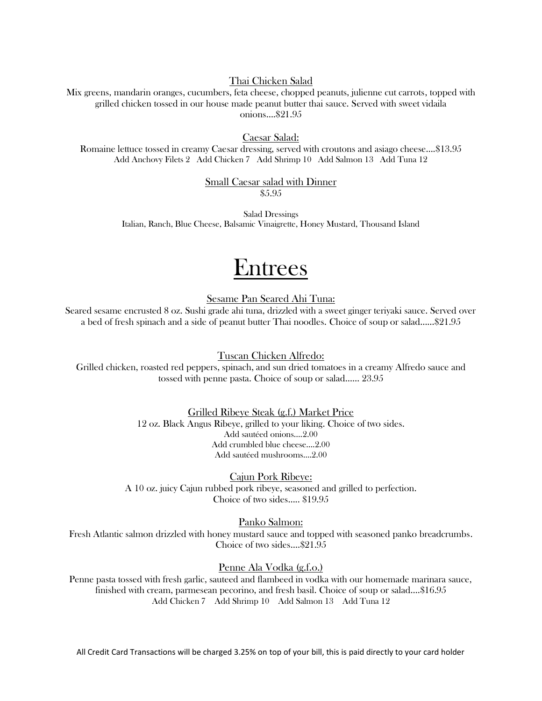## Thai Chicken Salad

Mix greens, mandarin oranges, cucumbers, feta cheese, chopped peanuts, julienne cut carrots, topped with grilled chicken tossed in our house made peanut butter thai sauce. Served with sweet vidaila onions….\$21.95

#### Caesar Salad:

Romaine lettuce tossed in creamy Caesar dressing, served with croutons and asiago cheese….\$13.95 Add Anchovy Filets 2 Add Chicken 7 Add Shrimp 10 Add Salmon 13 Add Tuna 12

#### Small Caesar salad with Dinner \$5.95

Salad Dressings Italian, Ranch, Blue Cheese, Balsamic Vinaigrette, Honey Mustard, Thousand Island

# **Entrees**

Sesame Pan Seared Ahi Tuna:

Seared sesame encrusted 8 oz. Sushi grade ahi tuna, drizzled with a sweet ginger teriyaki sauce. Served over a bed of fresh spinach and a side of peanut butter Thai noodles. Choice of soup or salad……\$21.95

Tuscan Chicken Alfredo:

Grilled chicken, roasted red peppers, spinach, and sun dried tomatoes in a creamy Alfredo sauce and tossed with penne pasta. Choice of soup or salad…… 23.95

> Grilled Ribeye Steak (g.f.) Market Price 12 oz. Black Angus Ribeye, grilled to your liking. Choice of two sides. Add sautéed onions….2.00 Add crumbled blue cheese….2.00 Add sautéed mushrooms….2.00

Cajun Pork Ribeye: A 10 oz. juicy Cajun rubbed pork ribeye, seasoned and grilled to perfection. Choice of two sides….. \$19.95

Panko Salmon:

Fresh Atlantic salmon drizzled with honey mustard sauce and topped with seasoned panko breadcrumbs. Choice of two sides….\$21.95

### Penne Ala Vodka (g.f.o.)

Penne pasta tossed with fresh garlic, sauteed and flambeed in vodka with our homemade marinara sauce, finished with cream, parmesean pecorino, and fresh basil. Choice of soup or salad….\$16.95 Add Chicken 7 Add Shrimp 10 Add Salmon 13 Add Tuna 12

All Credit Card Transactions will be charged 3.25% on top of your bill, this is paid directly to your card holder